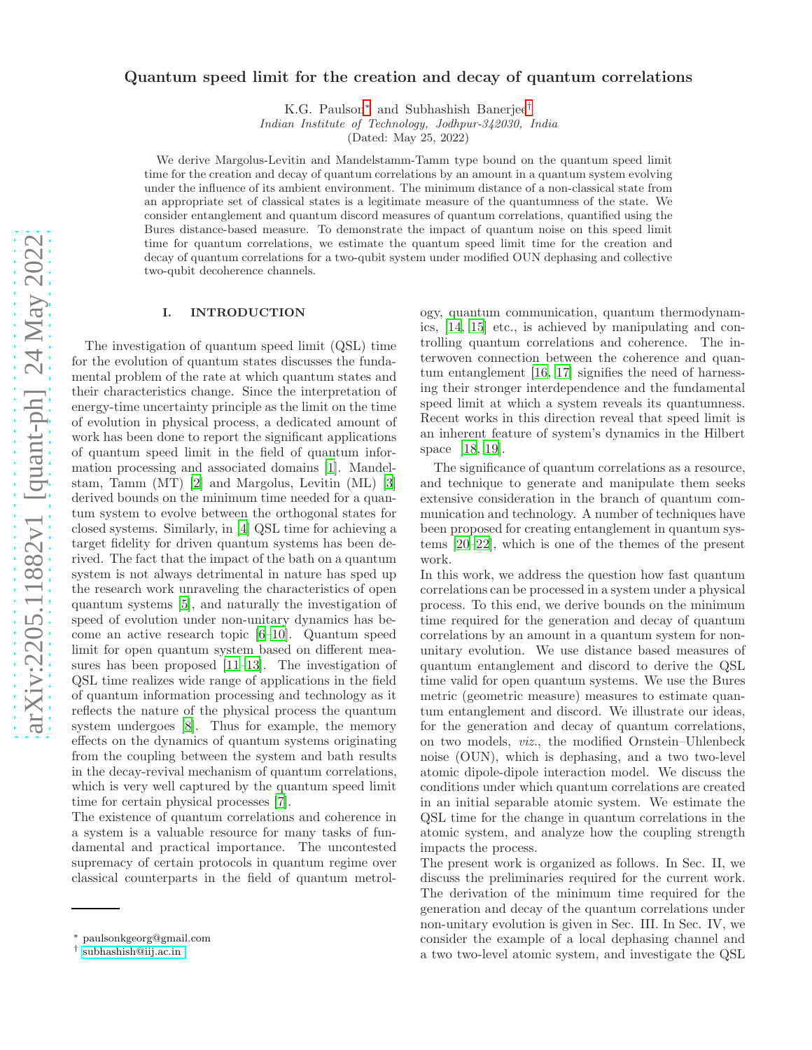# arXiv:2205.11882v1 [quant-ph] 24 May 2022 [arXiv:2205.11882v1 \[quant-ph\] 24 May 2022](http://arxiv.org/abs/2205.11882v1)

# Quantum speed limit for the creation and decay of quantum correlations

K.G. Paulson[∗](#page-0-0) and Subhashish Banerjee[†](#page-0-1)

*Indian Institute of Technology, Jodhpur-342030, India*

(Dated: May 25, 2022)

We derive Margolus-Levitin and Mandelstamm-Tamm type bound on the quantum speed limit time for the creation and decay of quantum correlations by an amount in a quantum system evolving under the influence of its ambient environment. The minimum distance of a non-classical state from an appropriate set of classical states is a legitimate measure of the quantumness of the state. We consider entanglement and quantum discord measures of quantum correlations, quantified using the Bures distance-based measure. To demonstrate the impact of quantum noise on this speed limit time for quantum correlations, we estimate the quantum speed limit time for the creation and decay of quantum correlations for a two-qubit system under modified OUN dephasing and collective two-qubit decoherence channels.

# I. INTRODUCTION

The investigation of quantum speed limit (QSL) time for the evolution of quantum states discusses the fundamental problem of the rate at which quantum states and their characteristics change. Since the interpretation of energy-time uncertainty principle as the limit on the time of evolution in physical process, a dedicated amount of work has been done to report the significant applications of quantum speed limit in the field of quantum information processing and associated domains [\[1\]](#page-5-0). Mandelstam, Tamm (MT) [\[2\]](#page-5-1) and Margolus, Levitin (ML) [\[3](#page-5-2)] derived bounds on the minimum time needed for a quantum system to evolve between the orthogonal states for closed systems. Similarly, in [\[4](#page-5-3)] QSL time for achieving a target fidelity for driven quantum systems has been derived. The fact that the impact of the bath on a quantum system is not always detrimental in nature has sped up the research work unraveling the characteristics of open quantum systems [\[5\]](#page-5-4), and naturally the investigation of speed of evolution under non-unitary dynamics has become an active research topic [\[6](#page-5-5)[–10](#page-5-6)]. Quantum speed limit for open quantum system based on different measures has been proposed [\[11](#page-5-7)[–13\]](#page-5-8). The investigation of QSL time realizes wide range of applications in the field of quantum information processing and technology as it reflects the nature of the physical process the quantum system undergoes [\[8](#page-5-9)]. Thus for example, the memory effects on the dynamics of quantum systems originating from the coupling between the system and bath results in the decay-revival mechanism of quantum correlations, which is very well captured by the quantum speed limit time for certain physical processes [\[7](#page-5-10)].

The existence of quantum correlations and coherence in a system is a valuable resource for many tasks of fundamental and practical importance. The uncontested supremacy of certain protocols in quantum regime over classical counterparts in the field of quantum metrology, quantum communication, quantum thermodynamics, [\[14,](#page-5-11) [15\]](#page-5-12) etc., is achieved by manipulating and controlling quantum correlations and coherence. The interwoven connection between the coherence and quantum entanglement [\[16](#page-5-13), [17\]](#page-5-14) signifies the need of harnessing their stronger interdependence and the fundamental speed limit at which a system reveals its quantumness. Recent works in this direction reveal that speed limit is an inherent feature of system's dynamics in the Hilbert space [\[18,](#page-5-15) [19\]](#page-5-16).

The significance of quantum correlations as a resource, and technique to generate and manipulate them seeks extensive consideration in the branch of quantum communication and technology. A number of techniques have been proposed for creating entanglement in quantum systems [\[20](#page-5-17)[–22](#page-5-18)], which is one of the themes of the present work.

In this work, we address the question how fast quantum correlations can be processed in a system under a physical process. To this end, we derive bounds on the minimum time required for the generation and decay of quantum correlations by an amount in a quantum system for nonunitary evolution. We use distance based measures of quantum entanglement and discord to derive the QSL time valid for open quantum systems. We use the Bures metric (geometric measure) measures to estimate quantum entanglement and discord. We illustrate our ideas, for the generation and decay of quantum correlations, on two models, viz., the modified Ornstein–Uhlenbeck noise (OUN), which is dephasing, and a two two-level atomic dipole-dipole interaction model. We discuss the conditions under which quantum correlations are created in an initial separable atomic system. We estimate the QSL time for the change in quantum correlations in the atomic system, and analyze how the coupling strength impacts the process.

The present work is organized as follows. In Sec. II, we discuss the preliminaries required for the current work. The derivation of the minimum time required for the generation and decay of the quantum correlations under non-unitary evolution is given in Sec. III. In Sec. IV, we consider the example of a local dephasing channel and a two two-level atomic system, and investigate the QSL

<span id="page-0-0"></span><sup>∗</sup> paulsonkgeorg@gmail.com

<span id="page-0-1"></span><sup>†</sup> [subhashish@iij.ac.in](mailto:subhashish@iij.ac.in )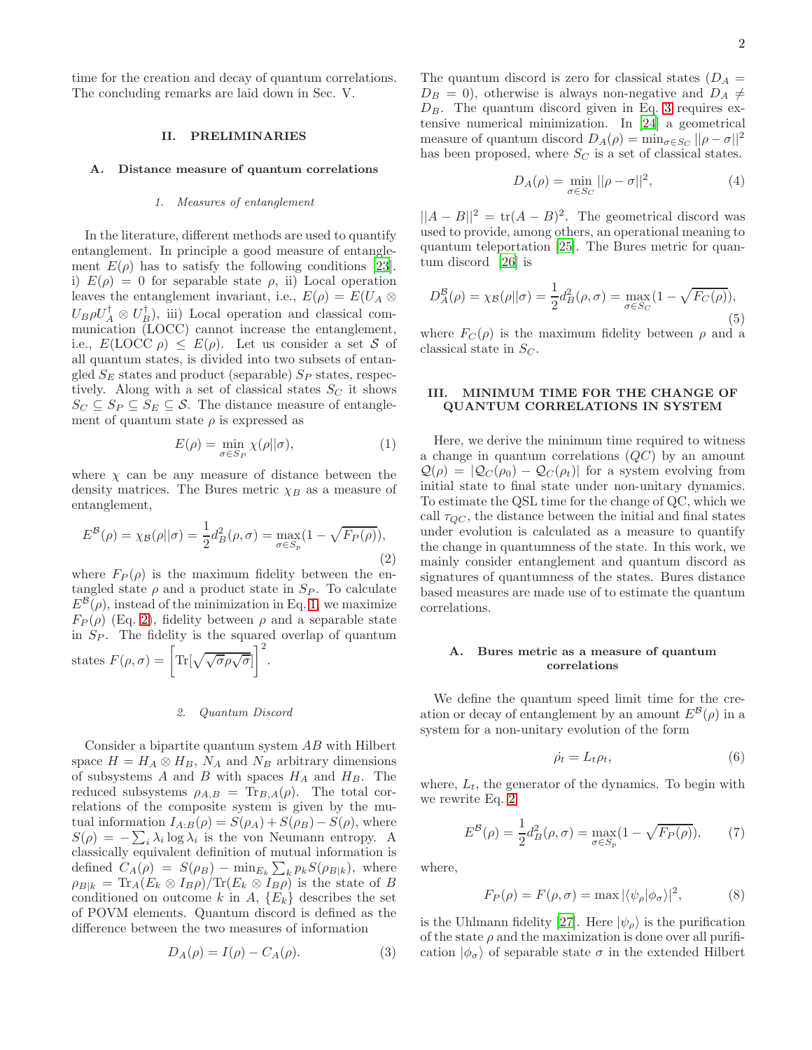time for the creation and decay of quantum correlations. The concluding remarks are laid down in Sec. V.

## II. PRELIMINARIES

### A. Distance measure of quantum correlations

# *1. Measures of entanglement*

In the literature, different methods are used to quantify entanglement. In principle a good measure of entanglement  $E(\rho)$  has to satisfy the following conditions [\[23\]](#page-5-19). i)  $E(\rho) = 0$  for separable state  $\rho$ , ii) Local operation leaves the entanglement invariant, i.e.,  $E(\rho) = E(U_A \otimes$  $U_B \rho U_A^{\dagger} \otimes U_B^{\dagger}$ , iii) Local operation and classical communication (LOCC) cannot increase the entanglement, i.e.,  $E(\text{LOCC }\rho) \leq E(\rho)$ . Let us consider a set S of all quantum states, is divided into two subsets of entangled  $S_E$  states and product (separable)  $S_P$  states, respectively. Along with a set of classical states  $S_C$  it shows  $S_C \subseteq S_P \subseteq S_E \subseteq \mathcal{S}$ . The distance measure of entanglement of quantum state  $\rho$  is expressed as

<span id="page-1-0"></span>
$$
E(\rho) = \min_{\sigma \in S_P} \chi(\rho || \sigma), \tag{1}
$$

where  $\chi$  can be any measure of distance between the density matrices. The Bures metric  $\chi_B$  as a measure of entanglement,

<span id="page-1-1"></span>
$$
E^{\mathcal{B}}(\rho) = \chi_{\mathcal{B}}(\rho||\sigma) = \frac{1}{2}d_{B}^{2}(\rho,\sigma) = \max_{\sigma \in S_{p}} (1 - \sqrt{F_{P}(\rho)}),
$$
\n(2)

where  $F_P(\rho)$  is the maximum fidelity between the entangled state  $\rho$  and a product state in  $S_P$ . To calculate  $E^{\mathcal{B}}(\rho)$ , instead of the minimization in Eq. [1,](#page-1-0) we maximize  $F_P(\rho)$  (Eq. [2\)](#page-1-1), fidelity between  $\rho$  and a separable state in  $S_P$ . The fidelity is the squared overlap of quantum

states 
$$
F(\rho, \sigma) = \left[ \text{Tr}[\sqrt{\sqrt{\sigma} \rho \sqrt{\sigma}}] \right]^2
$$
.

# *2. Quantum Discord*

Consider a bipartite quantum system AB with Hilbert space  $H = H_A \otimes H_B$ ,  $N_A$  and  $N_B$  arbitrary dimensions of subsystems A and B with spaces  $H_A$  and  $H_B$ . The reduced subsystems  $\rho_{A,B} = \text{Tr}_{B,A}(\rho)$ . The total correlations of the composite system is given by the mutual information  $I_{A:B}(\rho) = S(\rho_A) + S(\rho_B) - S(\rho)$ , where  $S(\rho) = -\sum_i \lambda_i \log \lambda_i$  is the von Neumann entropy. A classically equivalent definition of mutual information is defined  $C_A(\rho) = S(\rho_B) - \min_{E_k} \sum_k p_k S(\rho_{B|k})$ , where  $\rho_{B|k} = \text{Tr}_A(E_k \otimes I_B \rho) / \text{Tr}(E_k \otimes I_B \rho)$  is the state of B conditioned on outcome k in A,  ${E_k}$  describes the set of POVM elements. Quantum discord is defined as the difference between the two measures of information

<span id="page-1-2"></span>
$$
D_A(\rho) = I(\rho) - C_A(\rho). \tag{3}
$$

The quantum discord is zero for classical states  $(D_A =$  $D_B = 0$ , otherwise is always non-negative and  $D_A \neq$  $D_B$ . The quantum discord given in Eq. [3](#page-1-2) requires extensive numerical minimization. In [\[24\]](#page-6-0) a geometrical measure of quantum discord  $D_A(\rho) = \min_{\sigma \in S_C} ||\rho - \sigma||^2$ has been proposed, where  $S_C$  is a set of classical states.

$$
D_A(\rho) = \min_{\sigma \in S_C} ||\rho - \sigma||^2,
$$
 (4)

 $||A - B||^2 = \text{tr}(A - B)^2$ . The geometrical discord was used to provide, among others, an operational meaning to quantum teleportation [\[25\]](#page-6-1). The Bures metric for quantum discord [\[26\]](#page-6-2) is

<span id="page-1-4"></span>
$$
D_A^{\mathcal{B}}(\rho) = \chi_{\mathcal{B}}(\rho||\sigma) = \frac{1}{2}d_B^2(\rho,\sigma) = \max_{\sigma \in S_C} (1 - \sqrt{F_C(\rho)}),
$$
\n(5)

where  $F_C(\rho)$  is the maximum fidelity between  $\rho$  and a classical state in  $S_C$ .

# III. MINIMUM TIME FOR THE CHANGE OF QUANTUM CORRELATIONS IN SYSTEM

Here, we derive the minimum time required to witness a change in quantum correlations  $(QC)$  by an amount  $\mathcal{Q}(\rho) = |\mathcal{Q}_C(\rho_0) - \mathcal{Q}_C(\rho_t)|$  for a system evolving from initial state to final state under non-unitary dynamics. To estimate the QSL time for the change of QC, which we call  $\tau_{QC}$ , the distance between the initial and final states under evolution is calculated as a measure to quantify the change in quantumness of the state. In this work, we mainly consider entanglement and quantum discord as signatures of quantumness of the states. Bures distance based measures are made use of to estimate the quantum correlations.

# A. Bures metric as a measure of quantum correlations

We define the quantum speed limit time for the creation or decay of entanglement by an amount  $E^{\mathcal{B}}(\rho)$  in a system for a non-unitary evolution of the form

$$
\dot{\rho_t} = L_t \rho_t,\tag{6}
$$

where,  $L_t$ , the generator of the dynamics. To begin with we rewrite Eq. [2](#page-1-1)

<span id="page-1-3"></span>
$$
E^{\mathcal{B}}(\rho) = \frac{1}{2} d_{B}^{2}(\rho, \sigma) = \max_{\sigma \in S_{p}} (1 - \sqrt{F_{P}(\rho)}), \tag{7}
$$

where,

$$
F_P(\rho) = F(\rho, \sigma) = \max |\langle \psi_\rho | \phi_\sigma \rangle|^2, \tag{8}
$$

is the Uhlmann fidelity [\[27](#page-6-3)]. Here  $|\psi_{\rho}\rangle$  is the purification of the state  $\rho$  and the maximization is done over all purification  $|\phi_{\sigma}\rangle$  of separable state  $\sigma$  in the extended Hilbert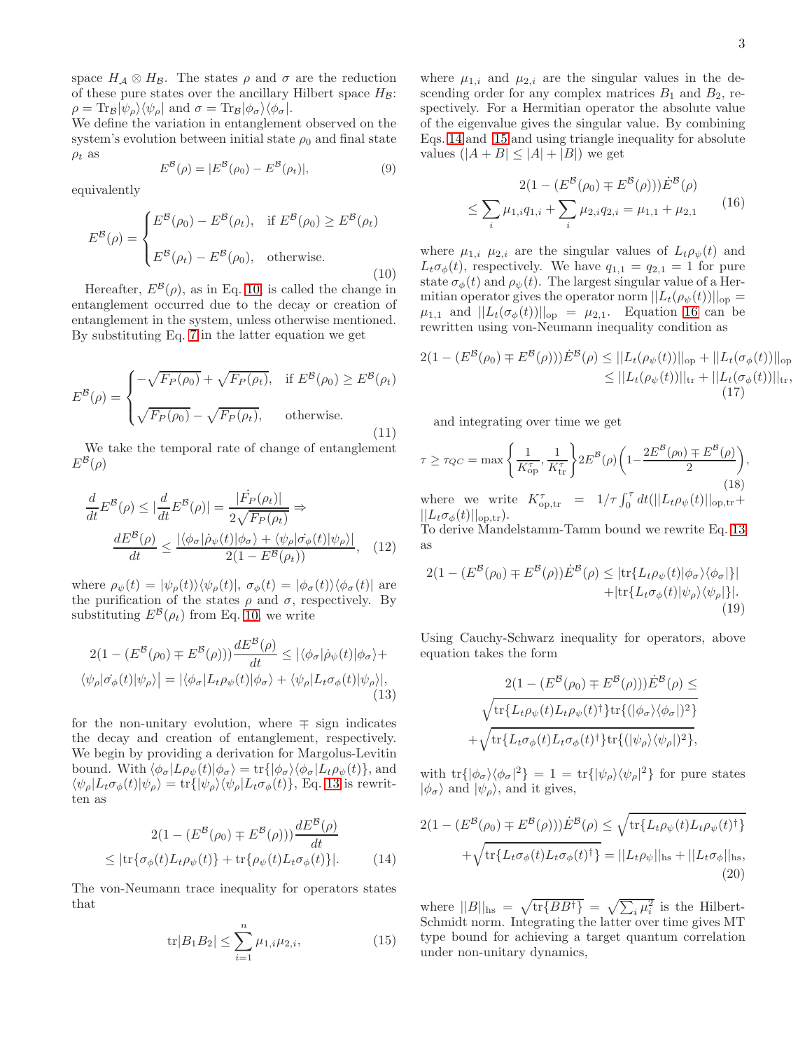space  $H_A \otimes H_B$ . The states  $\rho$  and  $\sigma$  are the reduction of these pure states over the ancillary Hilbert space  $H_{\mathcal{B}}$ :  $\rho = \text{Tr}_{\mathcal{B}}|\psi_{\rho}\rangle\langle\psi_{\rho}|\text{ and }\sigma = \text{Tr}_{\mathcal{B}}|\phi_{\sigma}\rangle\langle\phi_{\sigma}|\text{.}$ 

We define the variation in entanglement observed on the system's evolution between initial state  $\rho_0$  and final state  $\rho_t$  as

$$
E^{\mathcal{B}}(\rho) = |E^{\mathcal{B}}(\rho_0) - E^{\mathcal{B}}(\rho_t)|,
$$
\n(9)

equivalently

<span id="page-2-0"></span>
$$
E^{\mathcal{B}}(\rho) = \begin{cases} E^{\mathcal{B}}(\rho_0) - E^{\mathcal{B}}(\rho_t), & \text{if } E^{\mathcal{B}}(\rho_0) \ge E^{\mathcal{B}}(\rho_t) \\ E^{\mathcal{B}}(\rho_t) - E^{\mathcal{B}}(\rho_0), & \text{otherwise.} \end{cases}
$$
(10)

Hereafter,  $E^{\mathcal{B}}(\rho)$ , as in Eq. [10,](#page-2-0) is called the change in entanglement occurred due to the decay or creation of entanglement in the system, unless otherwise mentioned. By substituting Eq. [7](#page-1-3) in the latter equation we get

$$
E^{\mathcal{B}}(\rho) = \begin{cases} -\sqrt{F_P(\rho_0)} + \sqrt{F_P(\rho_t)}, & \text{if } E^{\mathcal{B}}(\rho_0) \ge E^{\mathcal{B}}(\rho_t) \\ \sqrt{F_P(\rho_0)} - \sqrt{F_P(\rho_t)}, & \text{otherwise.} \end{cases}
$$
(11)

We take the temporal rate of change of entanglement  $E^{\mathcal{B}}(\rho)$ 

$$
\frac{d}{dt}E^{\mathcal{B}}(\rho) \le |\frac{d}{dt}E^{\mathcal{B}}(\rho)| = \frac{|\dot{F_P}(\rho_t)|}{2\sqrt{F_P(\rho_t)}} \Rightarrow
$$

$$
\frac{dE^{\mathcal{B}}(\rho)}{dt} \le \frac{|\langle \phi_\sigma | \dot{\rho}_\psi(t) | \phi_\sigma \rangle + \langle \psi_\rho | \dot{\sigma}_\phi(t) | \psi_\rho \rangle|}{2(1 - E^{\mathcal{B}}(\rho_t))}, \quad (12)
$$

where  $\rho_{\psi}(t) = |\psi_{\rho}(t)\rangle \langle \psi_{\rho}(t)|, \sigma_{\phi}(t) = |\phi_{\sigma}(t)\rangle \langle \phi_{\sigma}(t)|$  are the purification of the states  $\rho$  and  $\sigma$ , respectively. By substituting  $E^{\mathcal{B}}(\rho_t)$  from Eq. [10,](#page-2-0) we write

$$
2(1 - (E^{\mathcal{B}}(\rho_0) \mp E^{\mathcal{B}}(\rho)))\frac{dE^{\mathcal{B}}(\rho)}{dt} \leq |\langle \phi_{\sigma} | \dot{\rho}_{\psi}(t) | \phi_{\sigma} \rangle + \langle \psi_{\rho} | \dot{\sigma}_{\phi}(t) | \psi_{\rho} \rangle| = |\langle \phi_{\sigma} | L_t \rho_{\psi}(t) | \phi_{\sigma} \rangle + \langle \psi_{\rho} | L_t \sigma_{\phi}(t) | \psi_{\rho} \rangle|, \tag{13}
$$

for the non-unitary evolution, where  $\mp$  sign indicates the decay and creation of entanglement, respectively. We begin by providing a derivation for Margolus-Levitin bound. With  $\langle \phi_{\sigma} | L \rho_{\psi}(t) | \phi_{\sigma} \rangle = \text{tr} \{ | \phi_{\sigma} \rangle \langle \phi_{\sigma} | L_t \rho_{\psi}(t) \rangle$ , and  $\langle \psi_{\rho} | L_t \sigma_{\phi}(t) | \psi_{\rho} \rangle = \text{tr} \{ | \psi_{\rho} \rangle \langle \psi_{\rho} | L_t \sigma_{\phi}(t) \rangle$ , Eq. [13](#page-2-1) is rewritten as

$$
2(1 - (E^{\mathcal{B}}(\rho_0) \mp E^{\mathcal{B}}(\rho))) \frac{dE^{\mathcal{B}}(\rho)}{dt}
$$

$$
\leq |\text{tr}\{\sigma_{\phi}(t)L_t\rho_{\psi}(t)\} + \text{tr}\{\rho_{\psi}(t)L_t\sigma_{\phi}(t)\}|. \tag{14}
$$

The von-Neumann trace inequality for operators states that

<span id="page-2-3"></span>
$$
\text{tr}|B_1 B_2| \le \sum_{i=1}^n \mu_{1,i} \mu_{2,i},\tag{15}
$$

where  $\mu_{1,i}$  and  $\mu_{2,i}$  are the singular values in the descending order for any complex matrices  $B_1$  and  $B_2$ , respectively. For a Hermitian operator the absolute value of the eigenvalue gives the singular value. By combining Eqs. [14](#page-2-2) and [15](#page-2-3) and using triangle inequality for absolute values  $(|A + B| \leq |A| + |B|)$  we get

$$
2(1 - (E^{\mathcal{B}}(\rho_0) \mp E^{\mathcal{B}}(\rho)))\dot{E}^{\mathcal{B}}(\rho)
$$
  

$$
\leq \sum_{i} \mu_{1,i} q_{1,i} + \sum_{i} \mu_{2,i} q_{2,i} = \mu_{1,1} + \mu_{2,1}
$$
 (16)

<span id="page-2-4"></span>where  $\mu_{1,i}$   $\mu_{2,i}$  are the singular values of  $L_t \rho_{\psi}(t)$  and  $L_t \sigma_{\phi}(t)$ , respectively. We have  $q_{1,1} = q_{2,1} = 1$  for pure state  $\sigma_{\phi}(t)$  and  $\rho_{\psi}(t)$ . The largest singular value of a Hermitian operator gives the operator norm  $||L_t(\rho_{\psi}(t))||_{op} =$  $\mu_{1,1}$  and  $||L_t(\sigma_{\phi}(t))||_{op} = \mu_{2,1}$ . Equation [16](#page-2-4) can be rewritten using von-Neumann inequality condition as

$$
2(1 - (E^{\mathcal{B}}(\rho_{0}) \mp E^{\mathcal{B}}(\rho)))\dot{E}^{\mathcal{B}}(\rho) \leq ||L_{t}(\rho_{\psi}(t))||_{\text{op}} + ||L_{t}(\sigma_{\phi}(t))||_{\text{op}} \leq ||L_{t}(\rho_{\psi}(t))||_{\text{tr}} + ||L_{t}(\sigma_{\phi}(t))||_{\text{tr}},
$$
\n(17)

and integrating over time we get

<span id="page-2-5"></span>
$$
\tau \ge \tau_{QC} = \max\left\{\frac{1}{K_{\text{op}}^{\tau}}, \frac{1}{K_{\text{tr}}^{\tau}}\right\} 2E^{\mathcal{B}}(\rho) \left(1 - \frac{2E^{\mathcal{B}}(\rho_0) \mp E^{\mathcal{B}}(\rho)}{2}\right),\tag{18}
$$

where we write  $K_{\text{op,tr}}^{\tau} = 1/\tau \int_0^{\tau} dt (||L_t \rho_{\psi}(t)||_{\text{op,tr}} +$  $||L_t\sigma_{\phi}(t)||_{\text{op,tr}}$ .

To derive Mandelstamm-Tamm bound we rewrite Eq. [13](#page-2-1) as

$$
2(1 - (E^{\mathcal{B}}(\rho_0) \mp E^{\mathcal{B}}(\rho))\dot{E}^{\mathcal{B}}(\rho) \leq |\text{tr}\{L_t\rho_{\psi}(t)|\phi_{\sigma}\rangle\langle\phi_{\sigma}|\}| + |\text{tr}\{L_t\sigma_{\phi}(t)|\psi_{\rho}\rangle\langle\psi_{\rho}|\}|. \tag{19}
$$

<span id="page-2-1"></span>Using Cauchy-Schwarz inequality for operators, above equation takes the form

$$
2(1 - (E^{\mathcal{B}}(\rho_0) \mp E^{\mathcal{B}}(\rho))) \dot{E}^{\mathcal{B}}(\rho) \le
$$
  

$$
\sqrt{\text{tr}\{L_t \rho_{\psi}(t)L_t \rho_{\psi}(t)^{\dagger}\} \text{tr}\{(|\phi_{\sigma}\rangle\langle\phi_{\sigma}|)^2\}}
$$
  

$$
+ \sqrt{\text{tr}\{L_t \sigma_{\phi}(t)L_t \sigma_{\phi}(t)^{\dagger}\} \text{tr}\{(|\psi_{\rho}\rangle\langle\psi_{\rho}|)^2\}},
$$

with  $\text{tr}\{|\phi_{\sigma}\rangle\langle\phi_{\sigma}|^2\} = 1 = \text{tr}\{|\psi_{\rho}\rangle\langle\psi_{\rho}|^2\}$  for pure states  $|\phi_{\sigma}\rangle$  and  $|\psi_{\rho}\rangle$ , and it gives,

<span id="page-2-2"></span>
$$
2(1 - (E^{\mathcal{B}}(\rho_0) \mp E^{\mathcal{B}}(\rho)))\dot{E}^{\mathcal{B}}(\rho) \leq \sqrt{\text{tr}\{L_t \rho_{\psi}(t)L_t \rho_{\psi}(t)^{\dagger}\}}
$$

$$
+ \sqrt{\text{tr}\{L_t \sigma_{\phi}(t)L_t \sigma_{\phi}(t)^{\dagger}\}} = ||L_t \rho_{\psi}||_{\text{hs}} + ||L_t \sigma_{\phi}||_{\text{hs}},
$$
(20)

where  $||B||_{\text{hs}} = \sqrt{\text{tr}{BB^{\dagger}}}\ = \sqrt{\sum_i \mu_i^2}$  is the Hilbert-Schmidt norm. Integrating the latter over time gives MT type bound for achieving a target quantum correlation under non-unitary dynamics,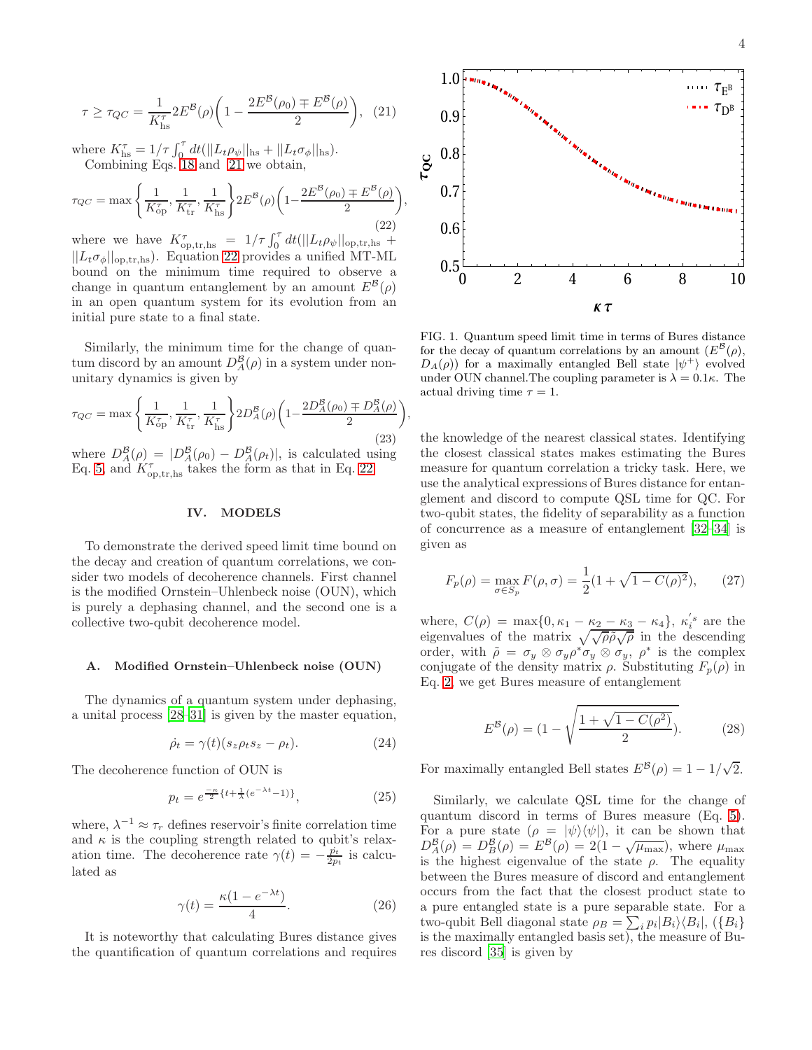<span id="page-3-0"></span>
$$
\tau \ge \tau_{QC} = \frac{1}{K_{\text{hs}}^{\tau}} 2E^{\mathcal{B}}(\rho) \left( 1 - \frac{2E^{\mathcal{B}}(\rho_0) \mp E^{\mathcal{B}}(\rho)}{2} \right), (21)
$$

where  $K_{\text{hs}}^{\tau} = 1/\tau \int_0^{\tau} dt (||L_t \rho_{\psi}||_{\text{hs}} + ||L_t \sigma_{\phi}||_{\text{hs}}).$ Combining Eqs. [18](#page-2-5) and [21](#page-3-0) we obtain,

<span id="page-3-1"></span>
$$
\tau_{QC} = \max\left\{ \frac{1}{K_{op}^{\tau}}, \frac{1}{K_{tr}^{\tau}}, \frac{1}{K_{hs}^{\tau}} \right\} 2E^{\mathcal{B}}(\rho) \left( 1 - \frac{2E^{\mathcal{B}}(\rho_0) \mp E^{\mathcal{B}}(\rho)}{2} \right)
$$
\n(22)

where we have  $K^{\tau}_{\text{op,tr,hs}} = 1/\tau \int_0^{\tau} dt (||L_t \rho_{\psi}||_{\text{op,tr,hs}} +$  $||L_t \sigma_{\phi}||_{\text{op,tr,hs}}$ . Equation [22](#page-3-1) provides a unified MT-ML bound on the minimum time required to observe a change in quantum entanglement by an amount  $E^{\mathcal{B}}(\rho)$ in an open quantum system for its evolution from an initial pure state to a final state.

Similarly, the minimum time for the change of quantum discord by an amount  $D_A^{\mathcal{B}}(\rho)$  in a system under nonunitary dynamics is given by

$$
\tau_{QC} = \max\left\{ \frac{1}{K_{op}^{\tau}}, \frac{1}{K_{tr}^{\tau}}, \frac{1}{K_{hs}^{\tau}} \right\} 2D_A^{\mathcal{B}}(\rho) \left( 1 - \frac{2D_A^{\mathcal{B}}(\rho_0) \mp D_A^{\mathcal{B}}(\rho)}{2} \right)
$$
\n(23)

,

where  $D_A^B(\rho) = |D_A^B(\rho_0) - D_A^B(\rho_t)|$ , is calculated using Eq. [5,](#page-1-4) and  $K_{\text{op,tr},\text{hs}}^{\tau}$  takes the form as that in Eq. [22.](#page-3-1)

### IV. MODELS

To demonstrate the derived speed limit time bound on the decay and creation of quantum correlations, we consider two models of decoherence channels. First channel is the modified Ornstein–Uhlenbeck noise (OUN), which is purely a dephasing channel, and the second one is a collective two-qubit decoherence model.

# A. Modified Ornstein–Uhlenbeck noise (OUN)

The dynamics of a quantum system under dephasing, a unital process [\[28](#page-6-4)[–31](#page-6-5)] is given by the master equation,

$$
\dot{\rho}_t = \gamma(t)(s_z \rho_t s_z - \rho_t). \tag{24}
$$

The decoherence function of OUN is

$$
p_t = e^{\frac{-\kappa}{2} \{t + \frac{1}{\lambda}(e^{-\lambda t} - 1)\}},\tag{25}
$$

where,  $\lambda^{-1} \approx \tau_r$  defines reservoir's finite correlation time and  $\kappa$  is the coupling strength related to qubit's relaxation time. The decoherence rate  $\gamma(t) = -\frac{\dot{p}_t}{2p_t}$  is calculated as

$$
\gamma(t) = \frac{\kappa(1 - e^{-\lambda t})}{4}.\tag{26}
$$

It is noteworthy that calculating Bures distance gives the quantification of quantum correlations and requires



<span id="page-3-3"></span>FIG. 1. Quantum speed limit time in terms of Bures distance for the decay of quantum correlations by an amount  $(E^{\mathcal{B}}(\rho),$  $D_A(\rho)$  for a maximally entangled Bell state  $|\psi^+\rangle$  evolved under OUN channel. The coupling parameter is  $\lambda = 0.1\kappa$ . The actual driving time  $\tau = 1$ .

the knowledge of the nearest classical states. Identifying the closest classical states makes estimating the Bures measure for quantum correlation a tricky task. Here, we use the analytical expressions of Bures distance for entanglement and discord to compute QSL time for QC. For two-qubit states, the fidelity of separability as a function of concurrence as a measure of entanglement [\[32](#page-6-6)[–34\]](#page-6-7) is given as

<span id="page-3-2"></span>
$$
F_p(\rho) = \max_{\sigma \in S_p} F(\rho, \sigma) = \frac{1}{2} (1 + \sqrt{1 - C(\rho)^2}), \qquad (27)
$$

where,  $C(\rho) = \max\{0, \kappa_1 - \frac{\kappa_2 - \kappa_3}{2} - \kappa_4\}, \kappa_i's$  are the eigenvalues of the matrix  $\sqrt{\sqrt{\rho \tilde{\rho}} \sqrt{\rho}}$  in the descending order, with  $\rho = \sigma_y \otimes \sigma_y \rho^* \sigma_y \otimes \sigma_y$ ,  $\rho^*$  is the complex conjugate of the density matrix  $\rho$ . Substituting  $F_p(\rho)$  in Eq. [2,](#page-1-1) we get Bures measure of entanglement

$$
E^{\mathcal{B}}(\rho) = (1 - \sqrt{\frac{1 + \sqrt{1 - C(\rho^2)}}{2}}). \tag{28}
$$

For maximally entangled Bell states  $E^{\mathcal{B}}(\rho) = 1 - 1/\sqrt{2}$ .

Similarly, we calculate QSL time for the change of quantum discord in terms of Bures measure (Eq. [5\)](#page-1-4). For a pure state  $(\rho = |\psi\rangle\langle\psi|)$ , it can be shown that  $D_A^B(\rho) = D_B^B(\rho) = E^B(\rho) = 2(1 - \sqrt{\mu_{\text{max}}})$ , where  $\mu_{\text{max}}$ is the highest eigenvalue of the state  $\rho$ . The equality between the Bures measure of discord and entanglement occurs from the fact that the closest product state to a pure entangled state is a pure separable state. For a two-qubit Bell diagonal state  $\rho_B = \sum_i p_i |B_i\rangle\langle B_i|, (\{B_i\})$ is the maximally entangled basis set), the measure of Bures discord [\[35\]](#page-6-8) is given by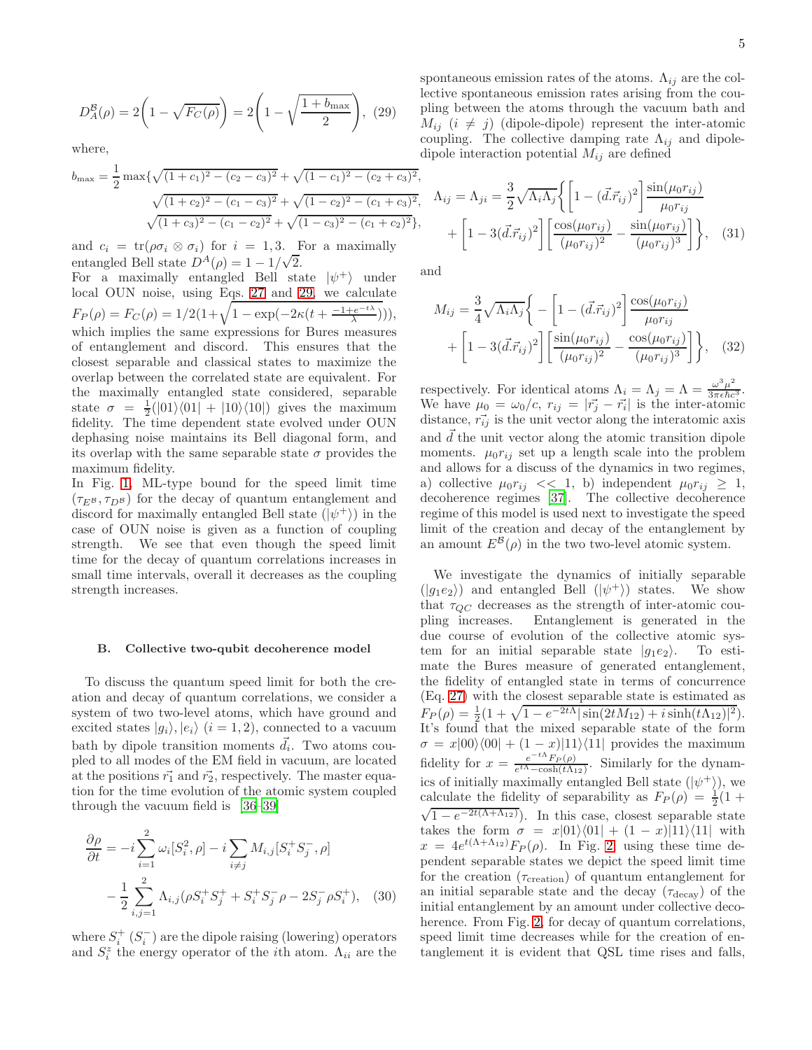<span id="page-4-0"></span>
$$
D_A^B(\rho) = 2\left(1 - \sqrt{F_C(\rho)}\right) = 2\left(1 - \sqrt{\frac{1 + b_{\text{max}}}{2}}\right), (29)
$$

where,

$$
b_{\max} = \frac{1}{2} \max \{ \sqrt{(1+c_1)^2 - (c_2-c_3)^2} + \sqrt{(1-c_1)^2 - (c_2+c_3)^2}, \\ \sqrt{(1+c_2)^2 - (c_1-c_3)^2} + \sqrt{(1-c_2)^2 - (c_1+c_3)^2}, \\ \sqrt{(1+c_3)^2 - (c_1-c_2)^2} + \sqrt{(1-c_3)^2 - (c_1+c_2)^2} \},
$$

and  $c_i = \text{tr}(\rho \sigma_i \otimes \sigma_i)$  for  $i = 1, 3$ . For a maximally entangled Bell state  $D^A(\rho) = 1 - 1/\sqrt{2}$ .

For a maximally entangled Bell state  $|\psi^+\rangle$  under local OUN noise, using Eqs. [27](#page-3-2) and [29,](#page-4-0) we calculate  $F_P(\rho) = F_C(\rho) = 1/2(1 + \sqrt{1 - \exp(-2\kappa(t + \frac{-1 + e^{-t\lambda}}{\lambda}))),}$ which implies the same expressions for Bures measures of entanglement and discord. This ensures that the closest separable and classical states to maximize the overlap between the correlated state are equivalent. For the maximally entangled state considered, separable state  $\sigma = \frac{1}{2}(|01\rangle\langle01| + |10\rangle\langle10|)$  gives the maximum fidelity. The time dependent state evolved under OUN dephasing noise maintains its Bell diagonal form, and its overlap with the same separable state  $\sigma$  provides the maximum fidelity.

In Fig. [1,](#page-3-3) ML-type bound for the speed limit time  $(\tau_{E^B}, \tau_{D^B})$  for the decay of quantum entanglement and discord for maximally entangled Bell state  $(|\psi^+\rangle)$  in the case of OUN noise is given as a function of coupling strength. We see that even though the speed limit time for the decay of quantum correlations increases in small time intervals, overall it decreases as the coupling strength increases.

# B. Collective two-qubit decoherence model

To discuss the quantum speed limit for both the creation and decay of quantum correlations, we consider a system of two two-level atoms, which have ground and excited states  $|g_i\rangle, |e_i\rangle$  (i = 1, 2), connected to a vacuum bath by dipole transition moments  $\vec{d}_i$ . Two atoms coupled to all modes of the EM field in vacuum, are located at the positions  $\vec{r_1}$  and  $\vec{r_2}$ , respectively. The master equation for the time evolution of the atomic system coupled through the vacuum field is [\[36](#page-6-9)[–39](#page-6-10)]

$$
\frac{\partial \rho}{\partial t} = -i \sum_{i=1}^{2} \omega_i [S_i^2, \rho] - i \sum_{i \neq j} M_{i,j} [S_i^+ S_j^-, \rho]
$$

$$
- \frac{1}{2} \sum_{i,j=1}^{2} \Lambda_{i,j} (\rho S_i^+ S_j^+ + S_i^+ S_j^- \rho - 2S_j^- \rho S_i^+), \quad (30)
$$

where  $S_i^+$   $(S_i^-)$  are the dipole raising (lowering) operators and  $S_i^z$  the energy operator of the *i*<sup>th</sup> atom.  $\Lambda_{ii}$  are the spontaneous emission rates of the atoms.  $\Lambda_{ij}$  are the collective spontaneous emission rates arising from the coupling between the atoms through the vacuum bath and  $M_{ij}$  (i  $\neq$  j) (dipole-dipole) represent the inter-atomic coupling. The collective damping rate  $\Lambda_{ij}$  and dipoledipole interaction potential  $M_{ij}$  are defined

$$
\Lambda_{ij} = \Lambda_{ji} = \frac{3}{2} \sqrt{\Lambda_i \Lambda_j} \left\{ \left[ 1 - (\vec{d} \cdot \vec{r}_{ij})^2 \right] \frac{\sin(\mu_0 r_{ij})}{\mu_0 r_{ij}} + \left[ 1 - 3(\vec{d} \cdot \vec{r}_{ij})^2 \right] \left[ \frac{\cos(\mu_0 r_{ij})}{(\mu_0 r_{ij})^2} - \frac{\sin(\mu_0 r_{ij})}{(\mu_0 r_{ij})^3} \right] \right\}, \quad (31)
$$

and

$$
M_{ij} = \frac{3}{4} \sqrt{\Lambda_i \Lambda_j} \left\{ - \left[ 1 - (\vec{d} \cdot \vec{r}_{ij})^2 \right] \frac{\cos(\mu_0 r_{ij})}{\mu_0 r_{ij}} + \left[ 1 - 3(\vec{d} \cdot \vec{r}_{ij})^2 \right] \left[ \frac{\sin(\mu_0 r_{ij})}{(\mu_0 r_{ij})^2} - \frac{\cos(\mu_0 r_{ij})}{(\mu_0 r_{ij})^3} \right] \right\}, \quad (32)
$$

respectively. For identical atoms  $\Lambda_i = \Lambda_j = \Lambda = \frac{\omega^3 \mu^2}{3\pi \epsilon \hbar c}$  $rac{\omega^2 \mu^2}{3\pi \epsilon \hbar c^3}$ . We have  $\mu_0 = \omega_0/c$ ,  $r_{ij} = |\vec{r_j} - \vec{r_i}|$  is the inter-atomic distance,  $\vec{r}_{ij}$  is the unit vector along the interatomic axis and  $\overrightarrow{d}$  the unit vector along the atomic transition dipole moments.  $\mu_0 r_{ij}$  set up a length scale into the problem and allows for a discuss of the dynamics in two regimes, a) collective  $\mu_0 r_{ij} \ll 1$ , b) independent  $\mu_0 r_{ij} \geq 1$ , decoherence regimes [\[37\]](#page-6-11). The collective decoherence regime of this model is used next to investigate the speed limit of the creation and decay of the entanglement by an amount  $E^{\mathcal{B}}(\rho)$  in the two two-level atomic system.

We investigate the dynamics of initially separable  $(|g_1e_2\rangle)$  and entangled Bell  $(|\psi^+\rangle)$  states. We show that  $\tau_{QC}$  decreases as the strength of inter-atomic cou-<br>pling increases. Entanglement is generated in the Entanglement is generated in the due course of evolution of the collective atomic system for an initial separable state  $|g_1e_2\rangle$ . To estimate the Bures measure of generated entanglement, the fidelity of entangled state in terms of concurrence (Eq. [27\)](#page-3-2) with the closest separable state is estimated as  $F_P(\rho) = \frac{1}{2}(1 + \sqrt{1 - e^{-2t\Lambda}|\sin(2tM_{12}) + i\sinh(t\Lambda_{12})|^2}).$ It's found that the mixed separable state of the form  $\sigma = x|00\rangle\langle00| + (1-x)|11\rangle\langle11|$  provides the maximum fidelity for  $x = \frac{e^{-tA}F_P(\rho)}{e^{tA} - \cosh(tA_{12})}$ . Similarly for the dynamics of initially maximally entangled Bell state  $(|\psi^{\dagger}\rangle)$ , we calculate the fidelity of separability as  $F_P(\rho) = \frac{1}{2}(1 +$  $\sqrt{1 - e^{-2t(\Lambda + \Lambda_{12})}}$ . In this case, closest separable state takes the form  $\sigma = x|01\rangle\langle01| + (1 - x)|11\rangle\langle11|$  with  $x = 4e^{t(\Lambda + \Lambda_{12})}F_P(\rho)$ . In Fig. [2,](#page-5-20) using these time dependent separable states we depict the speed limit time for the creation  $(\tau_{\text{creation}})$  of quantum entanglement for an initial separable state and the decay  $(\tau_{\text{decay}})$  of the initial entanglement by an amount under collective deco-herence. From Fig. [2,](#page-5-20) for decay of quantum correlations, speed limit time decreases while for the creation of entanglement it is evident that QSL time rises and falls,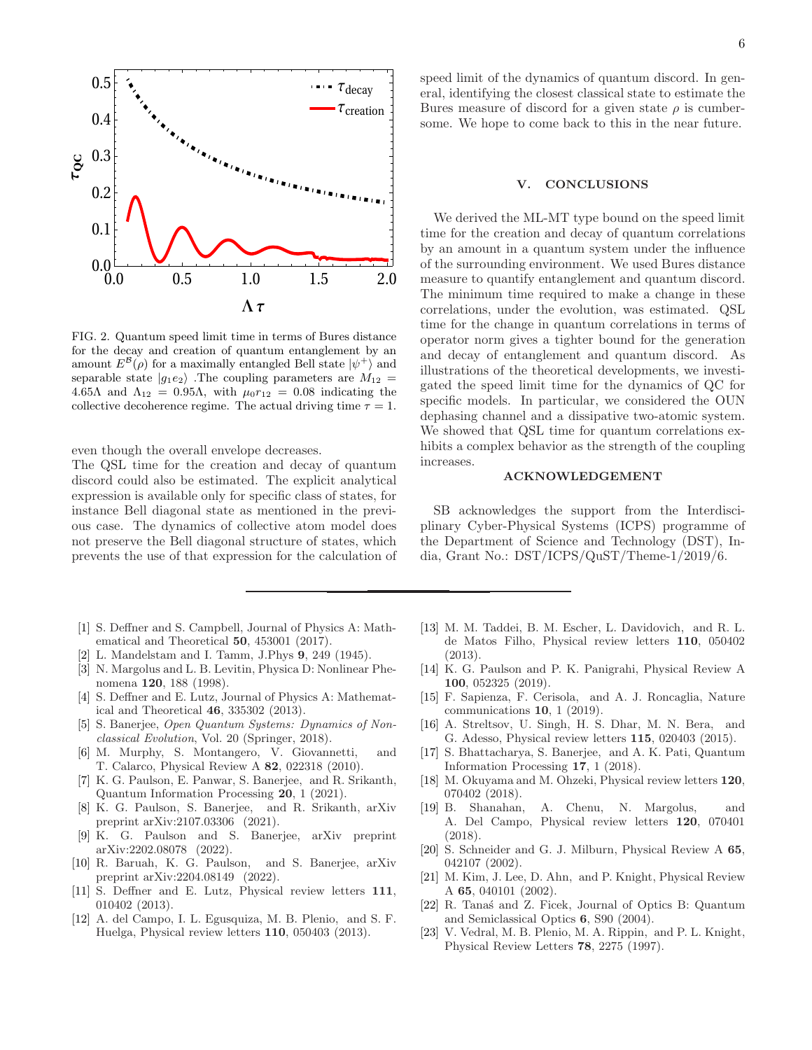

<span id="page-5-20"></span>FIG. 2. Quantum speed limit time in terms of Bures distance for the decay and creation of quantum entanglement by an amount  $E^{\mathcal{B}}(\rho)$  for a maximally entangled Bell state  $|\psi^{+}\rangle$  and separable state  $|g_1e_2\rangle$ . The coupling parameters are  $M_{12}$  = 4.65Λ and  $\Lambda_{12} = 0.95\Lambda$ , with  $\mu_0 r_{12} = 0.08$  indicating the collective decoherence regime. The actual driving time  $\tau = 1$ .

even though the overall envelope decreases.

The QSL time for the creation and decay of quantum discord could also be estimated. The explicit analytical expression is available only for specific class of states, for instance Bell diagonal state as mentioned in the previous case. The dynamics of collective atom model does not preserve the Bell diagonal structure of states, which prevents the use of that expression for the calculation of

- <span id="page-5-0"></span>[1] S. Deffner and S. Campbell, Journal of Physics A: Mathematical and Theoretical 50, 453001 (2017).
- <span id="page-5-1"></span>[2] L. Mandelstam and I. Tamm, J.Phys 9, 249 (1945).
- <span id="page-5-2"></span>[3] N. Margolus and L. B. Levitin, Physica D: Nonlinear Phenomena 120, 188 (1998).
- <span id="page-5-3"></span>[4] S. Deffner and E. Lutz, Journal of Physics A: Mathematical and Theoretical 46, 335302 (2013).
- <span id="page-5-4"></span>[5] S. Banerjee, *Open Quantum Systems: Dynamics of Nonclassical Evolution*, Vol. 20 (Springer, 2018).
- <span id="page-5-5"></span>[6] M. Murphy, S. Montangero, V. Giovannetti, and T. Calarco, Physical Review A 82, 022318 (2010).
- <span id="page-5-10"></span>[7] K. G. Paulson, E. Panwar, S. Banerjee, and R. Srikanth, Quantum Information Processing 20, 1 (2021).
- <span id="page-5-9"></span>[8] K. G. Paulson, S. Banerjee, and R. Srikanth, arXiv preprint arXiv:2107.03306 (2021).
- [9] K. G. Paulson and S. Banerjee, arXiv preprint arXiv:2202.08078 (2022).
- <span id="page-5-6"></span>[10] R. Baruah, K. G. Paulson, and S. Banerjee, arXiv preprint arXiv:2204.08149 (2022).
- <span id="page-5-7"></span>[11] S. Deffner and E. Lutz, Physical review letters 111, 010402 (2013).
- [12] A. del Campo, I. L. Egusquiza, M. B. Plenio, and S. F. Huelga, Physical review letters 110, 050403 (2013).

speed limit of the dynamics of quantum discord. In general, identifying the closest classical state to estimate the Bures measure of discord for a given state  $\rho$  is cumbersome. We hope to come back to this in the near future.

## V. CONCLUSIONS

We derived the ML-MT type bound on the speed limit time for the creation and decay of quantum correlations by an amount in a quantum system under the influence of the surrounding environment. We used Bures distance measure to quantify entanglement and quantum discord. The minimum time required to make a change in these correlations, under the evolution, was estimated. QSL time for the change in quantum correlations in terms of operator norm gives a tighter bound for the generation and decay of entanglement and quantum discord. As illustrations of the theoretical developments, we investigated the speed limit time for the dynamics of QC for specific models. In particular, we considered the OUN dephasing channel and a dissipative two-atomic system. We showed that QSL time for quantum correlations exhibits a complex behavior as the strength of the coupling increases.

# ACKNOWLEDGEMENT

SB acknowledges the support from the Interdisciplinary Cyber-Physical Systems (ICPS) programme of the Department of Science and Technology (DST), India, Grant No.: DST/ICPS/QuST/Theme-1/2019/6.

- <span id="page-5-8"></span>[13] M. M. Taddei, B. M. Escher, L. Davidovich, and R. L. de Matos Filho, Physical review letters 110, 050402 (2013).
- <span id="page-5-11"></span>[14] K. G. Paulson and P. K. Panigrahi, Physical Review A 100, 052325 (2019).
- <span id="page-5-12"></span>[15] F. Sapienza, F. Cerisola, and A. J. Roncaglia, Nature communications 10, 1 (2019).
- <span id="page-5-13"></span>[16] A. Streltsov, U. Singh, H. S. Dhar, M. N. Bera, and G. Adesso, Physical review letters 115, 020403 (2015).
- <span id="page-5-14"></span>[17] S. Bhattacharya, S. Banerjee, and A. K. Pati, Quantum Information Processing 17, 1 (2018).
- <span id="page-5-15"></span>[18] M. Okuyama and M. Ohzeki, Physical review letters 120, 070402 (2018).
- <span id="page-5-16"></span>[19] B. Shanahan, A. Chenu, N. Margolus, and A. Del Campo, Physical review letters 120, 070401 (2018).
- <span id="page-5-17"></span>[20] S. Schneider and G. J. Milburn, Physical Review A 65, 042107 (2002).
- [21] M. Kim, J. Lee, D. Ahn, and P. Knight, Physical Review A 65, 040101 (2002).
- <span id="page-5-18"></span>[22] R. Tanaś and Z. Ficek, Journal of Optics B: Quantum and Semiclassical Optics 6, S90 (2004).
- <span id="page-5-19"></span>[23] V. Vedral, M. B. Plenio, M. A. Rippin, and P. L. Knight, Physical Review Letters 78, 2275 (1997).